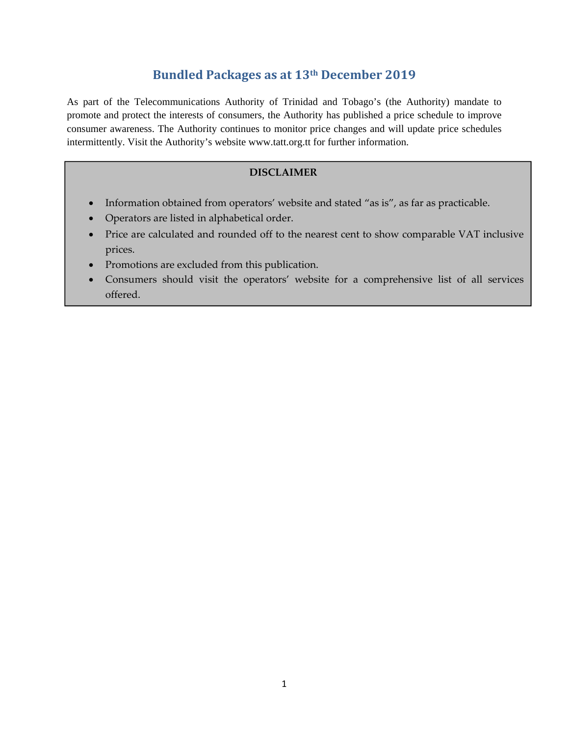## **Bundled Packages as at 13th December 2019**

As part of the Telecommunications Authority of Trinidad and Tobago's (the Authority) mandate to promote and protect the interests of consumers, the Authority has published a price schedule to improve consumer awareness. The Authority continues to monitor price changes and will update price schedules intermittently. Visit the Authority's website www.tatt.org.tt for further information.

#### **DISCLAIMER**

- Information obtained from operators' website and stated "as is", as far as practicable.
- Operators are listed in alphabetical order.
- Price are calculated and rounded off to the nearest cent to show comparable VAT inclusive prices.
- Promotions are excluded from this publication.
- Consumers should visit the operators' website for a comprehensive list of all services offered.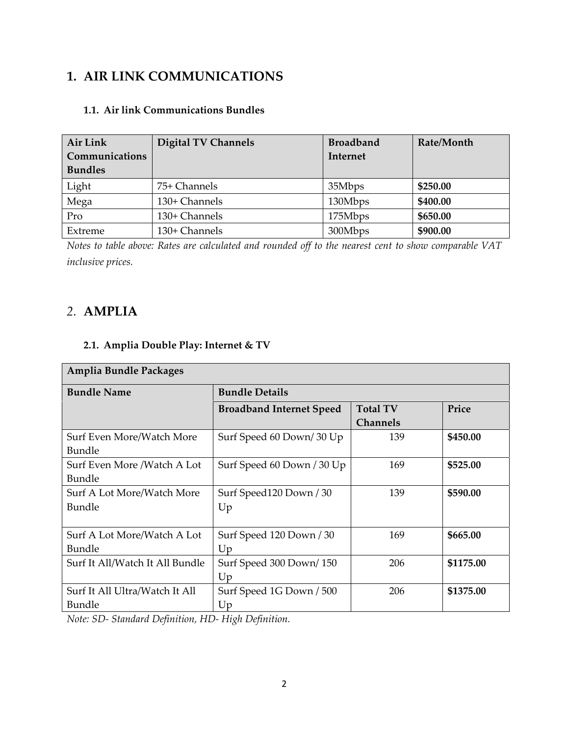# **1. AIR LINK COMMUNICATIONS**

| Air Link       | <b>Digital TV Channels</b> | <b>Broadband</b> | Rate/Month |
|----------------|----------------------------|------------------|------------|
| Communications |                            | Internet         |            |
| <b>Bundles</b> |                            |                  |            |
| Light          | 75+ Channels               | 35Mbps           | \$250.00   |
| Mega           | 130+ Channels              | 130Mbps          | \$400.00   |
| Pro            | 130+ Channels              | 175Mbps          | \$650.00   |
| Extreme        | 130+ Channels              | 300Mbps          | \$900.00   |

#### **1.1. Air link Communications Bundles**

Notes to table above: Rates are calculated and rounded off to the nearest cent to show comparable VAT *inclusive prices.*

## *2.* **AMPLIA**

## **2.1. Amplia Double Play: Internet & TV**

| Amplia Bundle Packages          |                 |           |  |  |  |
|---------------------------------|-----------------|-----------|--|--|--|
| <b>Bundle Details</b>           |                 |           |  |  |  |
| <b>Broadband Internet Speed</b> | <b>Total TV</b> | Price     |  |  |  |
|                                 | <b>Channels</b> |           |  |  |  |
| Surf Speed 60 Down/30 Up        | 139             | \$450.00  |  |  |  |
|                                 |                 |           |  |  |  |
| Surf Speed 60 Down / 30 Up      | 169             | \$525.00  |  |  |  |
|                                 |                 |           |  |  |  |
| Surf Speed120 Down / 30         | 139             | \$590.00  |  |  |  |
| Up                              |                 |           |  |  |  |
|                                 |                 |           |  |  |  |
| Surf Speed 120 Down / 30        | 169             | \$665.00  |  |  |  |
| Up                              |                 |           |  |  |  |
| Surf Speed 300 Down/150         | 206             | \$1175.00 |  |  |  |
| Up                              |                 |           |  |  |  |
| Surf Speed 1G Down / 500        | 206             | \$1375.00 |  |  |  |
| Up                              |                 |           |  |  |  |
|                                 |                 |           |  |  |  |

*Note: SD‐ Standard Definition, HD‐ High Definition.*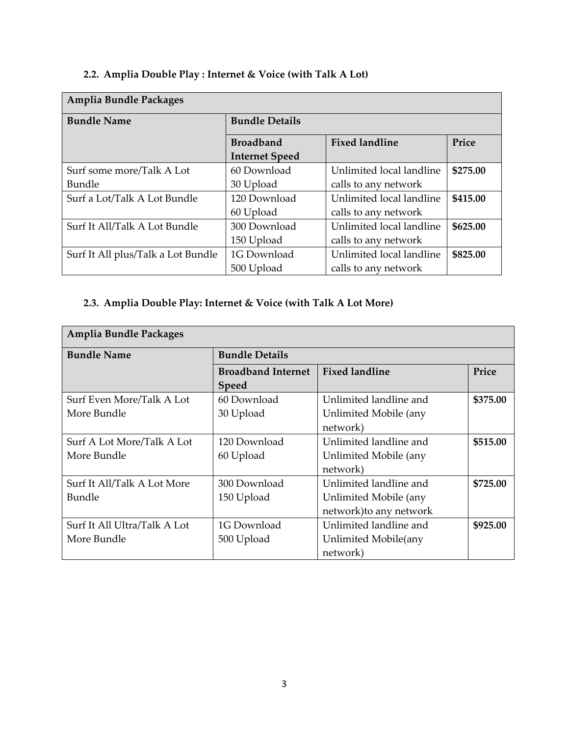# **2.2. Amplia Double Play : Internet & Voice (with Talk A Lot)**

| Amplia Bundle Packages             |                       |                          |          |  |  |
|------------------------------------|-----------------------|--------------------------|----------|--|--|
| <b>Bundle Name</b>                 | <b>Bundle Details</b> |                          |          |  |  |
|                                    | <b>Broadband</b>      | <b>Fixed landline</b>    | Price    |  |  |
|                                    | <b>Internet Speed</b> |                          |          |  |  |
| Surf some more/Talk A Lot          | 60 Download           | Unlimited local landline | \$275.00 |  |  |
| Bundle                             | 30 Upload             | calls to any network     |          |  |  |
| Surf a Lot/Talk A Lot Bundle       | 120 Download          | Unlimited local landline | \$415.00 |  |  |
|                                    | 60 Upload             | calls to any network     |          |  |  |
| Surf It All/Talk A Lot Bundle      | 300 Download          | Unlimited local landline | \$625.00 |  |  |
|                                    | 150 Upload            | calls to any network     |          |  |  |
| Surf It All plus/Talk a Lot Bundle | 1G Download           | Unlimited local landline | \$825.00 |  |  |
|                                    | 500 Upload            | calls to any network     |          |  |  |

# **2.3. Amplia Double Play: Internet & Voice (with Talk A Lot More)**

| <b>Amplia Bundle Packages</b> |                           |                         |          |  |
|-------------------------------|---------------------------|-------------------------|----------|--|
| <b>Bundle Name</b>            | <b>Bundle Details</b>     |                         |          |  |
|                               | <b>Broadband Internet</b> | <b>Fixed landline</b>   | Price    |  |
|                               | <b>Speed</b>              |                         |          |  |
| Surf Even More/Talk A Lot     | 60 Download               | Unlimited landline and  | \$375.00 |  |
| More Bundle                   | 30 Upload                 | Unlimited Mobile (any   |          |  |
|                               |                           | network)                |          |  |
| Surf A Lot More/Talk A Lot    | 120 Download              | Unlimited landline and  | \$515.00 |  |
| More Bundle                   | 60 Upload                 | Unlimited Mobile (any   |          |  |
|                               |                           | network)                |          |  |
| Surf It All/Talk A Lot More   | 300 Download              | Unlimited landline and  | \$725.00 |  |
| Bundle                        | 150 Upload                | Unlimited Mobile (any   |          |  |
|                               |                           | network) to any network |          |  |
| Surf It All Ultra/Talk A Lot  | 1G Download               | Unlimited landline and  | \$925.00 |  |
| More Bundle                   | 500 Upload                | Unlimited Mobile(any    |          |  |
|                               |                           | network)                |          |  |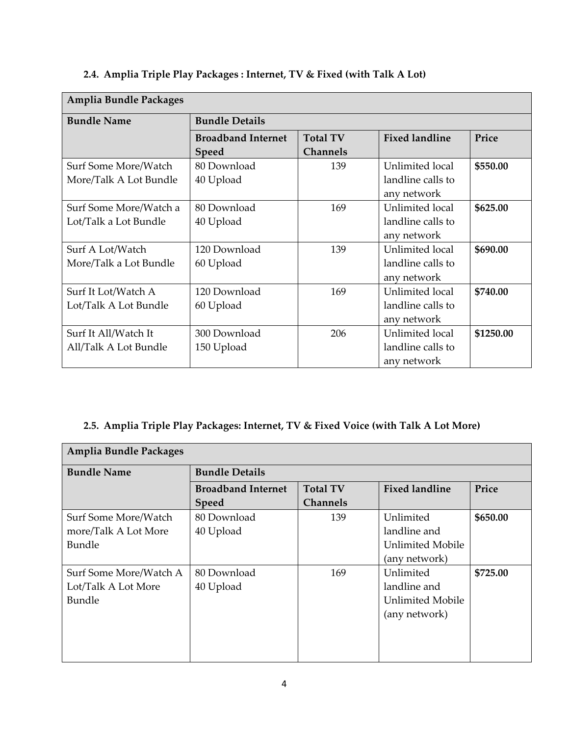| <b>Amplia Bundle Packages</b> |                           |                 |                       |           |  |  |
|-------------------------------|---------------------------|-----------------|-----------------------|-----------|--|--|
| <b>Bundle Name</b>            | <b>Bundle Details</b>     |                 |                       |           |  |  |
|                               | <b>Broadband Internet</b> | <b>Total TV</b> | <b>Fixed landline</b> | Price     |  |  |
|                               | <b>Speed</b>              | <b>Channels</b> |                       |           |  |  |
| Surf Some More/Watch          | 80 Download               | 139             | Unlimited local       | \$550.00  |  |  |
| More/Talk A Lot Bundle        | 40 Upload                 |                 | landline calls to     |           |  |  |
|                               |                           |                 | any network           |           |  |  |
| Surf Some More/Watch a        | 80 Download               | 169             | Unlimited local       | \$625.00  |  |  |
| Lot/Talk a Lot Bundle         | 40 Upload                 |                 | landline calls to     |           |  |  |
|                               |                           |                 | any network           |           |  |  |
| Surf A Lot/Watch              | 120 Download              | 139             | Unlimited local       | \$690.00  |  |  |
| More/Talk a Lot Bundle        | 60 Upload                 |                 | landline calls to     |           |  |  |
|                               |                           |                 | any network           |           |  |  |
| Surf It Lot/Watch A           | 120 Download              | 169             | Unlimited local       | \$740.00  |  |  |
| Lot/Talk A Lot Bundle         | 60 Upload                 |                 | landline calls to     |           |  |  |
|                               |                           |                 | any network           |           |  |  |
| Surf It All/Watch It          | 300 Download              | 206             | Unlimited local       | \$1250.00 |  |  |
| All/Talk A Lot Bundle         | 150 Upload                |                 | landline calls to     |           |  |  |
|                               |                           |                 | any network           |           |  |  |

# **2.4. Amplia Triple Play Packages : Internet, TV & Fixed (with Talk A Lot)**

## **2.5. Amplia Triple Play Packages: Internet, TV & Fixed Voice (with Talk A Lot More)**

| Amplia Bundle Packages |                           |                 |                       |          |
|------------------------|---------------------------|-----------------|-----------------------|----------|
| <b>Bundle Name</b>     | <b>Bundle Details</b>     |                 |                       |          |
|                        | <b>Broadband Internet</b> | <b>Total TV</b> | <b>Fixed landline</b> | Price    |
|                        | <b>Speed</b>              | <b>Channels</b> |                       |          |
| Surf Some More/Watch   | 80 Download               | 139             | Unlimited             | \$650.00 |
| more/Talk A Lot More   | 40 Upload                 |                 | landline and          |          |
| <b>Bundle</b>          |                           |                 | Unlimited Mobile      |          |
|                        |                           |                 | (any network)         |          |
| Surf Some More/Watch A | 80 Download               | 169             | Unlimited             | \$725.00 |
| Lot/Talk A Lot More    | 40 Upload                 |                 | landline and          |          |
| Bundle                 |                           |                 | Unlimited Mobile      |          |
|                        |                           |                 | (any network)         |          |
|                        |                           |                 |                       |          |
|                        |                           |                 |                       |          |
|                        |                           |                 |                       |          |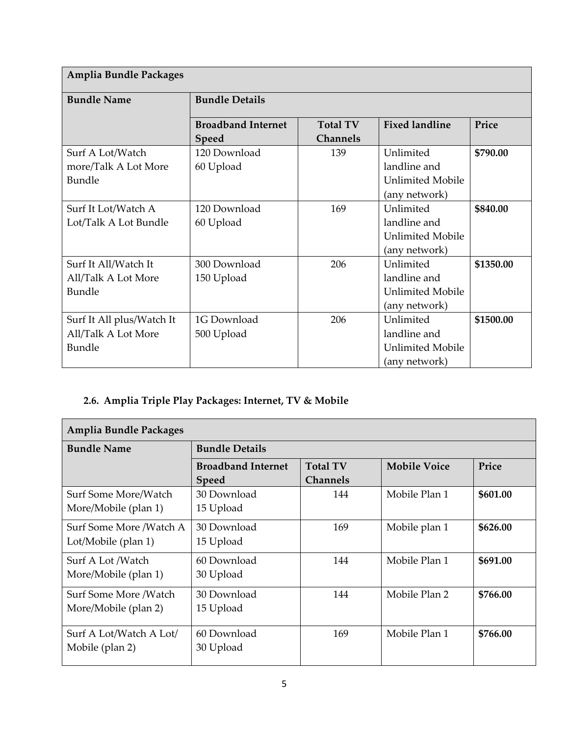| Amplia Bundle Packages    |                           |                 |                         |           |
|---------------------------|---------------------------|-----------------|-------------------------|-----------|
| <b>Bundle Name</b>        | <b>Bundle Details</b>     |                 |                         |           |
|                           | <b>Broadband Internet</b> | <b>Total TV</b> | <b>Fixed landline</b>   | Price     |
|                           | Speed                     | <b>Channels</b> |                         |           |
| Surf A Lot/Watch          | 120 Download              | 139             | Unlimited               | \$790.00  |
| more/Talk A Lot More      | 60 Upload                 |                 | landline and            |           |
| Bundle                    |                           |                 | <b>Unlimited Mobile</b> |           |
|                           |                           |                 | (any network)           |           |
| Surf It Lot/Watch A       | 120 Download              | 169             | Unlimited               | \$840.00  |
| Lot/Talk A Lot Bundle     | 60 Upload                 |                 | landline and            |           |
|                           |                           |                 | <b>Unlimited Mobile</b> |           |
|                           |                           |                 | (any network)           |           |
| Surf It All/Watch It      | 300 Download              | 206             | Unlimited               | \$1350.00 |
| All/Talk A Lot More       | 150 Upload                |                 | landline and            |           |
| Bundle                    |                           |                 | <b>Unlimited Mobile</b> |           |
|                           |                           |                 | (any network)           |           |
| Surf It All plus/Watch It | 1G Download               | 206             | Unlimited               | \$1500.00 |
| All/Talk A Lot More       | 500 Upload                |                 | landline and            |           |
| Bundle                    |                           |                 | <b>Unlimited Mobile</b> |           |
|                           |                           |                 | (any network)           |           |

# **2.6. Amplia Triple Play Packages: Internet, TV & Mobile**

| Amplia Bundle Packages                         |                                           |                                    |                     |          |  |  |
|------------------------------------------------|-------------------------------------------|------------------------------------|---------------------|----------|--|--|
| <b>Bundle Name</b>                             | <b>Bundle Details</b>                     |                                    |                     |          |  |  |
|                                                | <b>Broadband Internet</b><br><b>Speed</b> | <b>Total TV</b><br><b>Channels</b> | <b>Mobile Voice</b> | Price    |  |  |
| Surf Some More/Watch<br>More/Mobile (plan 1)   | 30 Download<br>15 Upload                  | 144                                | Mobile Plan 1       | \$601.00 |  |  |
| Surf Some More /Watch A<br>Lot/Mobile (plan 1) | 30 Download<br>15 Upload                  | 169                                | Mobile plan 1       | \$626.00 |  |  |
| Surf A Lot /Watch<br>More/Mobile (plan 1)      | 60 Download<br>30 Upload                  | 144                                | Mobile Plan 1       | \$691.00 |  |  |
| Surf Some More /Watch<br>More/Mobile (plan 2)  | 30 Download<br>15 Upload                  | 144                                | Mobile Plan 2       | \$766.00 |  |  |
| Surf A Lot/Watch A Lot/<br>Mobile (plan 2)     | 60 Download<br>30 Upload                  | 169                                | Mobile Plan 1       | \$766.00 |  |  |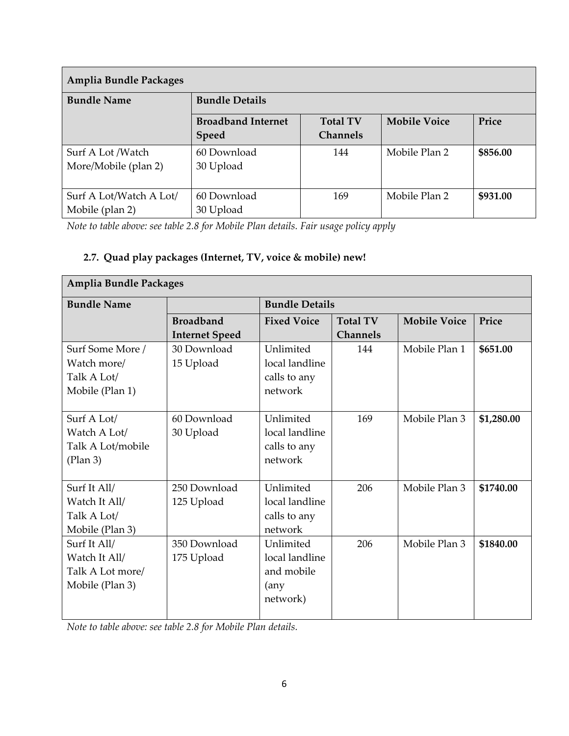| Amplia Bundle Packages  |                           |                 |                     |          |
|-------------------------|---------------------------|-----------------|---------------------|----------|
| <b>Bundle Name</b>      | <b>Bundle Details</b>     |                 |                     |          |
|                         | <b>Broadband Internet</b> | <b>Total TV</b> | <b>Mobile Voice</b> | Price    |
|                         | <b>Speed</b>              | <b>Channels</b> |                     |          |
| Surf A Lot /Watch       | 60 Download               | 144             | Mobile Plan 2       | \$856.00 |
| More/Mobile (plan 2)    | 30 Upload                 |                 |                     |          |
|                         |                           |                 |                     |          |
| Surf A Lot/Watch A Lot/ | 60 Download               | 169             | Mobile Plan 2       | \$931.00 |
| Mobile (plan 2)         | 30 Upload                 |                 |                     |          |

*Note to table above: see table 2.8 for Mobile Plan details. Fair usage policy apply*

## **2.7. Quad play packages (Internet, TV, voice & mobile) new!**

| <b>Amplia Bundle Packages</b> |                       |                       |                 |                     |            |
|-------------------------------|-----------------------|-----------------------|-----------------|---------------------|------------|
| <b>Bundle Name</b>            |                       | <b>Bundle Details</b> |                 |                     |            |
|                               | <b>Broadband</b>      | <b>Fixed Voice</b>    | <b>Total TV</b> | <b>Mobile Voice</b> | Price      |
|                               | <b>Internet Speed</b> |                       | <b>Channels</b> |                     |            |
| Surf Some More /              | 30 Download           | Unlimited             | 144             | Mobile Plan 1       | \$651.00   |
| Watch more/                   | 15 Upload             | local landline        |                 |                     |            |
| Talk A Lot/                   |                       | calls to any          |                 |                     |            |
| Mobile (Plan 1)               |                       | network               |                 |                     |            |
|                               |                       |                       |                 |                     |            |
| Surf A Lot/                   | 60 Download           | Unlimited             | 169             | Mobile Plan 3       | \$1,280.00 |
| Watch A Lot/                  | 30 Upload             | local landline        |                 |                     |            |
| Talk A Lot/mobile             |                       | calls to any          |                 |                     |            |
| (Plan 3)                      |                       | network               |                 |                     |            |
|                               |                       |                       |                 |                     |            |
| Surf It All/                  | 250 Download          | Unlimited             | 206             | Mobile Plan 3       | \$1740.00  |
| Watch It All/                 | 125 Upload            | local landline        |                 |                     |            |
| Talk A Lot/                   |                       | calls to any          |                 |                     |            |
| Mobile (Plan 3)               |                       | network               |                 |                     |            |
| Surf It All/                  | 350 Download          | Unlimited             | 206             | Mobile Plan 3       | \$1840.00  |
| Watch It All/                 | 175 Upload            | local landline        |                 |                     |            |
| Talk A Lot more/              |                       | and mobile            |                 |                     |            |
| Mobile (Plan 3)               |                       | (any                  |                 |                     |            |
|                               |                       | network)              |                 |                     |            |
|                               |                       |                       |                 |                     |            |

*Note to table above: see table 2.8 for Mobile Plan details.*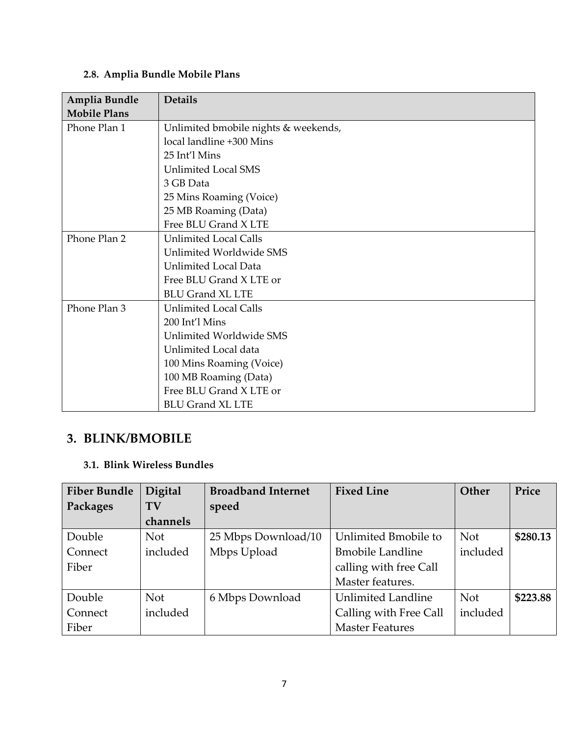# **2.8. Amplia Bundle Mobile Plans**

| Amplia Bundle       | <b>Details</b>                       |
|---------------------|--------------------------------------|
| <b>Mobile Plans</b> |                                      |
| Phone Plan 1        | Unlimited bmobile nights & weekends, |
|                     | local landline +300 Mins             |
|                     | 25 Int'l Mins                        |
|                     | <b>Unlimited Local SMS</b>           |
|                     | 3 GB Data                            |
|                     | 25 Mins Roaming (Voice)              |
|                     | 25 MB Roaming (Data)                 |
|                     | Free BLU Grand X LTE                 |
| Phone Plan 2        | <b>Unlimited Local Calls</b>         |
|                     | Unlimited Worldwide SMS              |
|                     | <b>Unlimited Local Data</b>          |
|                     | Free BLU Grand X LTE or              |
|                     | <b>BLU Grand XL LTE</b>              |
| Phone Plan 3        | <b>Unlimited Local Calls</b>         |
|                     | 200 Int'l Mins                       |
|                     | Unlimited Worldwide SMS              |
|                     | Unlimited Local data                 |
|                     | 100 Mins Roaming (Voice)             |
|                     | 100 MB Roaming (Data)                |
|                     | Free BLU Grand X LTE or              |
|                     | <b>BLU Grand XL LTE</b>              |

# **3. BLINK/BMOBILE**

## **3.1. Blink Wireless Bundles**

| <b>Fiber Bundle</b> | Digital    | <b>Broadband Internet</b> | <b>Fixed Line</b>         | Other      | Price    |
|---------------------|------------|---------------------------|---------------------------|------------|----------|
| Packages            | TV         | speed                     |                           |            |          |
|                     | channels   |                           |                           |            |          |
| Double              | <b>Not</b> | 25 Mbps Download/10       | Unlimited Bmobile to      | <b>Not</b> | \$280.13 |
| Connect             | included   | Mbps Upload               | <b>Bmobile Landline</b>   | included   |          |
| Fiber               |            |                           | calling with free Call    |            |          |
|                     |            |                           | Master features.          |            |          |
| Double              | <b>Not</b> | 6 Mbps Download           | <b>Unlimited Landline</b> | <b>Not</b> | \$223.88 |
| Connect             | included   |                           | Calling with Free Call    | included   |          |
| Fiber               |            |                           | <b>Master Features</b>    |            |          |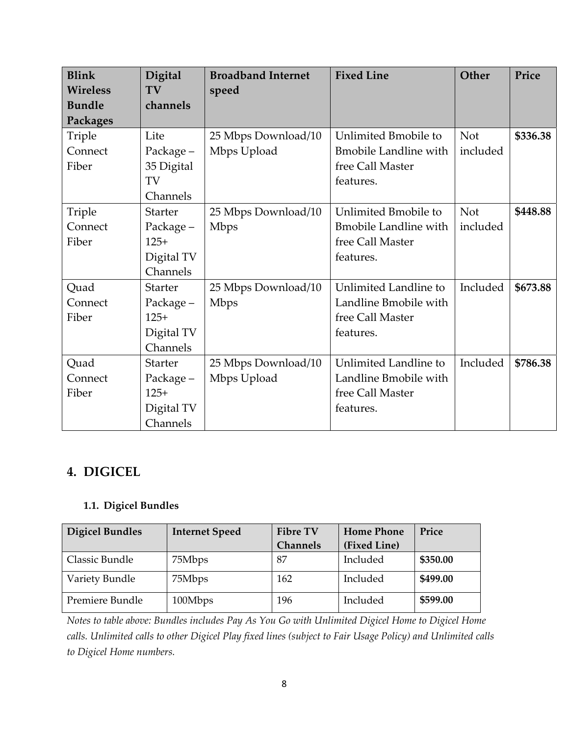| <b>Blink</b>    | Digital        | <b>Broadband Internet</b> | <b>Fixed Line</b>             | Other      | Price    |
|-----------------|----------------|---------------------------|-------------------------------|------------|----------|
| <b>Wireless</b> | TV             | speed                     |                               |            |          |
| <b>Bundle</b>   | channels       |                           |                               |            |          |
| <b>Packages</b> |                |                           |                               |            |          |
| Triple          | Lite           | 25 Mbps Download/10       | Unlimited Bmobile to          | <b>Not</b> | \$336.38 |
| Connect         | Package-       | Mbps Upload               | <b>Bmobile Landline with</b>  | included   |          |
| Fiber           | 35 Digital     |                           | free Call Master              |            |          |
|                 | TV             |                           | features.                     |            |          |
|                 | Channels       |                           |                               |            |          |
| Triple          | <b>Starter</b> | 25 Mbps Download/10       | Unlimited Bmobile to          | <b>Not</b> | \$448.88 |
| Connect         | Package -      | <b>Mbps</b>               | <b>B</b> mobile Landline with | included   |          |
| Fiber           | $125+$         |                           | free Call Master              |            |          |
|                 | Digital TV     |                           | features.                     |            |          |
|                 | Channels       |                           |                               |            |          |
| Quad            | <b>Starter</b> | 25 Mbps Download/10       | Unlimited Landline to         | Included   | \$673.88 |
| Connect         | Package-       | <b>Mbps</b>               | Landline Bmobile with         |            |          |
| Fiber           | $125+$         |                           | free Call Master              |            |          |
|                 | Digital TV     |                           | features.                     |            |          |
|                 | Channels       |                           |                               |            |          |
| Quad            | <b>Starter</b> | 25 Mbps Download/10       | Unlimited Landline to         | Included   | \$786.38 |
| Connect         | Package -      | Mbps Upload               | Landline Bmobile with         |            |          |
| Fiber           | $125+$         |                           | free Call Master              |            |          |
|                 | Digital TV     |                           | features.                     |            |          |
|                 | Channels       |                           |                               |            |          |

# **4. DIGICEL**

## **1.1. Digicel Bundles**

| <b>Digicel Bundles</b> | <b>Internet Speed</b> | <b>Fibre TV</b> | <b>Home Phone</b> | Price    |
|------------------------|-----------------------|-----------------|-------------------|----------|
|                        |                       | <b>Channels</b> | (Fixed Line)      |          |
| Classic Bundle         | 75Mbps                | 87              | Included          | \$350.00 |
| Variety Bundle         | 75Mbps                | 162             | Included          | \$499.00 |
| Premiere Bundle        | 100Mbps               | 196             | Included          | \$599.00 |

*Notes to table above: Bundles includes Pay As You Go with Unlimited Digicel Home to Digicel Home* calls. Unlimited calls to other Digicel Play fixed lines (subject to Fair Usage Policy) and Unlimited calls *to Digicel Home numbers.*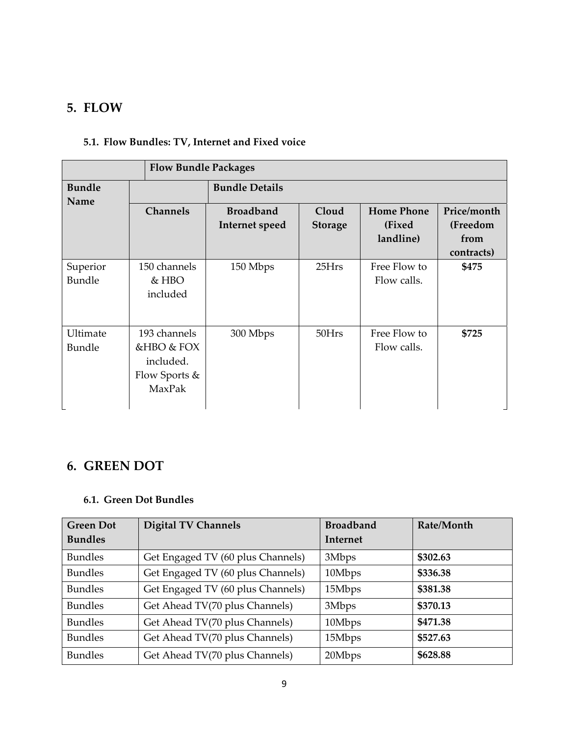## **5. FLOW**

## **5.1. Flow Bundles: TV, Internet and Fixed voice**

| <b>Flow Bundle Packages</b> |                                                                    |                                    |                         |                                          |                                               |
|-----------------------------|--------------------------------------------------------------------|------------------------------------|-------------------------|------------------------------------------|-----------------------------------------------|
| <b>Bundle</b>               | <b>Bundle Details</b>                                              |                                    |                         |                                          |                                               |
| Name                        | <b>Channels</b>                                                    | <b>Broadband</b><br>Internet speed | Cloud<br><b>Storage</b> | <b>Home Phone</b><br>(Fixed<br>landline) | Price/month<br>(Freedom<br>from<br>contracts) |
| Superior<br>Bundle          | 150 channels<br>$&$ HBO<br>included                                | 150 Mbps                           | 25Hrs                   | Free Flow to<br>Flow calls.              | \$475                                         |
| Ultimate<br>Bundle          | 193 channels<br>&HBO & FOX<br>included.<br>Flow Sports &<br>MaxPak | 300 Mbps                           | 50Hrs                   | Free Flow to<br>Flow calls.              | \$725                                         |

# **6. GREEN DOT**

#### **6.1. Green Dot Bundles**

| <b>Green Dot</b> | <b>Digital TV Channels</b>        | <b>Broadband</b> | Rate/Month |
|------------------|-----------------------------------|------------------|------------|
| <b>Bundles</b>   |                                   | Internet         |            |
| <b>Bundles</b>   | Get Engaged TV (60 plus Channels) | 3Mbps            | \$302.63   |
| <b>Bundles</b>   | Get Engaged TV (60 plus Channels) | 10Mbps           | \$336.38   |
| <b>Bundles</b>   | Get Engaged TV (60 plus Channels) | 15Mbps           | \$381.38   |
| <b>Bundles</b>   | Get Ahead TV(70 plus Channels)    | 3Mbps            | \$370.13   |
| <b>Bundles</b>   | Get Ahead TV(70 plus Channels)    | 10Mbps           | \$471.38   |
| <b>Bundles</b>   | Get Ahead TV(70 plus Channels)    | 15Mbps           | \$527.63   |
| <b>Bundles</b>   | Get Ahead TV(70 plus Channels)    | 20Mbps           | \$628.88   |